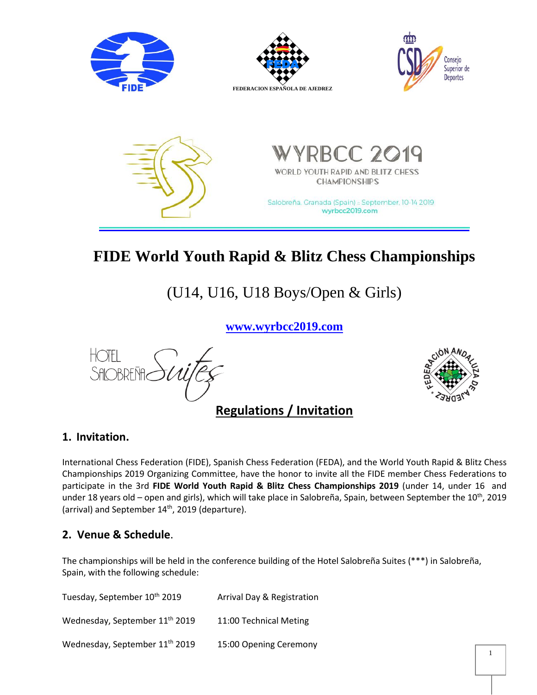

# **FIDE World Youth Rapid & Blitz Chess Championships**

(U14, U16, U18 Boys/Open & Girls)

**[www.wyrbcc2019.com](http://www.wyrbcc2019.com/)**



## **Regulations / Invitation**



#### **1. Invitation.**

International Chess Federation (FIDE), Spanish Chess Federation (FEDA), and the World Youth Rapid & Blitz Chess Championships 2019 Organizing Committee, have the honor to invite all the FIDE member Chess Federations to participate in the 3rd **FIDE World Youth Rapid & Blitz Chess Championships 2019** (under 14, under 16 and under 18 years old – open and girls), which will take place in Salobreña, Spain, between September the 10<sup>th</sup>, 2019 (arrival) and September 14<sup>th</sup>, 2019 (departure).

## **2. Venue & Schedule**.

The championships will be held in the conference building of the Hotel Salobreña Suites (\*\*\*) in Salobreña, Spain, with the following schedule:

Tuesday, September 10<sup>th</sup> 2019 Arrival Day & Registration Wednesday, September 11 11:00 Technical Meting Wednesday, September 11<sup>th</sup> 2019 15:00 Opening Ceremony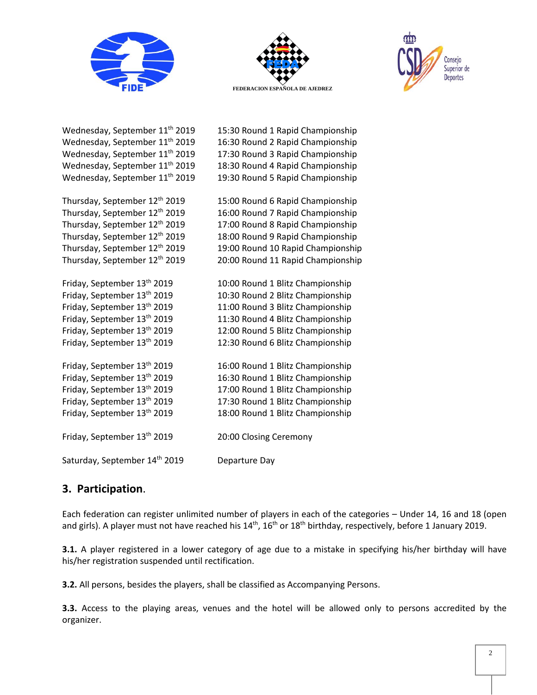



15:30 Round 1 Rapid Championship

16:30 Round 2 Rapid Championship

17:30 Round 3 Rapid Championship

18:30 Round 4 Rapid Championship

19:30 Round 5 Rapid Championship

15:00 Round 6 Rapid Championship

16:00 Round 7 Rapid Championship

17:00 Round 8 Rapid Championship

18:00 Round 9 Rapid Championship

19:00 Round 10 Rapid Championship

20:00 Round 11 Rapid Championship

10:00 Round 1 Blitz Championship

10:30 Round 2 Blitz Championship

11:00 Round 3 Blitz Championship

11:30 Round 4 Blitz Championship

12:00 Round 5 Blitz Championship

12:30 Round 6 Blitz Championship

16:00 Round 1 Blitz Championship

16:30 Round 1 Blitz Championship

17:00 Round 1 Blitz Championship

17:30 Round 1 Blitz Championship

18:00 Round 1 Blitz Championship

20:00 Closing Ceremony



Wednesday, September 11<sup>th</sup> 2019 Wednesday, September 11<sup>th</sup> 2019 Wednesday, September 11<sup>th</sup> 2019 Wednesday, September 11<sup>th</sup> 2019 Wednesday, September 11<sup>th</sup> 2019

Thursday, September 12 Thursday, September 12 Thursday, September 12 Thursday, September 12 Thursday, September 12 Thursday, September 12

Friday, September 13 Friday, September 13 Friday, September 13 Friday, September 13 Friday, September 13 Friday, September 13

Friday, September 13 Friday, September 13 Friday, September 13 Friday, September 13 Friday, September 13 Friday, September 13

Saturday, September 14<sup>th</sup> 2019 Departure Day

## **3. Participation**.

Each federation can register unlimited number of players in each of the categories – Under 14, 16 and 18 (open and girls). A player must not have reached his 14<sup>th</sup>, 16<sup>th</sup> or 18<sup>th</sup> birthday, respectively, before 1 January 2019.

**3.1.** A player registered in a lower category of age due to a mistake in specifying his/her birthday will have his/her registration suspended until rectification.

**3.2.** All persons, besides the players, shall be classified as Accompanying Persons.

**3.3.** Access to the playing areas, venues and the hotel will be allowed only to persons accredited by the organizer.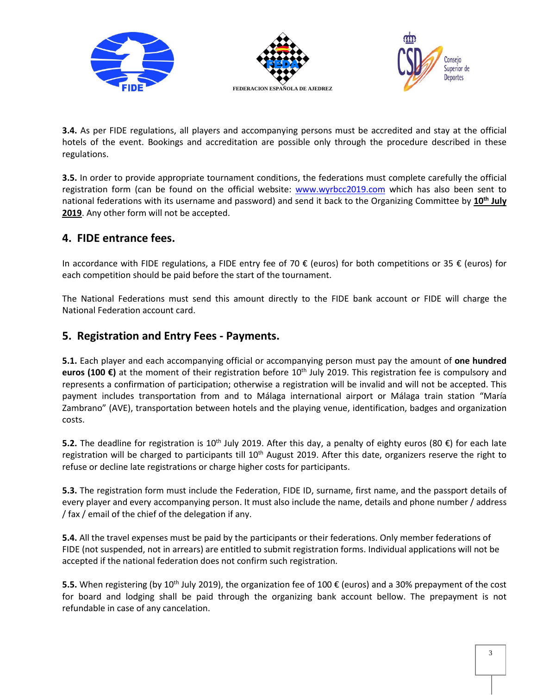

**3.4.** As per FIDE regulations, all players and accompanying persons must be accredited and stay at the official hotels of the event. Bookings and accreditation are possible only through the procedure described in these regulations.

**3.5.** In order to provide appropriate tournament conditions, the federations must complete carefully the official registration form (can be found on the official website: [www.wyrbcc2019.com](http://www.wyrbcc2019.com/) which has also been sent to national federations with its username and password) and send it back to the Organizing Committee by **10th July 2019**. Any other form will not be accepted.

## **4. FIDE entrance fees.**

In accordance with FIDE regulations, a FIDE entry fee of 70 € (euros) for both competitions or 35 € (euros) for each competition should be paid before the start of the tournament.

The National Federations must send this amount directly to the FIDE bank account or FIDE will charge the National Federation account card.

### **5. Registration and Entry Fees - Payments.**

**5.1.** Each player and each accompanying official or accompanying person must pay the amount of **one hundred euros (100 €)** at the moment of their registration before 10<sup>th</sup> July 2019. This registration fee is compulsory and represents a confirmation of participation; otherwise a registration will be invalid and will not be accepted. This payment includes transportation from and to Málaga international airport or Málaga train station "María Zambrano" (AVE), transportation between hotels and the playing venue, identification, badges and organization costs.

**5.2.** The deadline for registration is 10<sup>th</sup> July 2019. After this day, a penalty of eighty euros (80 €) for each late registration will be charged to participants till 10<sup>th</sup> August 2019. After this date, organizers reserve the right to refuse or decline late registrations or charge higher costs for participants.

**5.3.** The registration form must include the Federation, FIDE ID, surname, first name, and the passport details of every player and every accompanying person. It must also include the name, details and phone number / address / fax / email of the chief of the delegation if any.

**5.4.** All the travel expenses must be paid by the participants or their federations. Only member federations of FIDE (not suspended, not in arrears) are entitled to submit registration forms. Individual applications will not be accepted if the national federation does not confirm such registration.

**5.5.** When registering (by 10<sup>th</sup> July 2019), the organization fee of 100 € (euros) and a 30% prepayment of the cost for board and lodging shall be paid through the organizing bank account bellow. The prepayment is not refundable in case of any cancelation.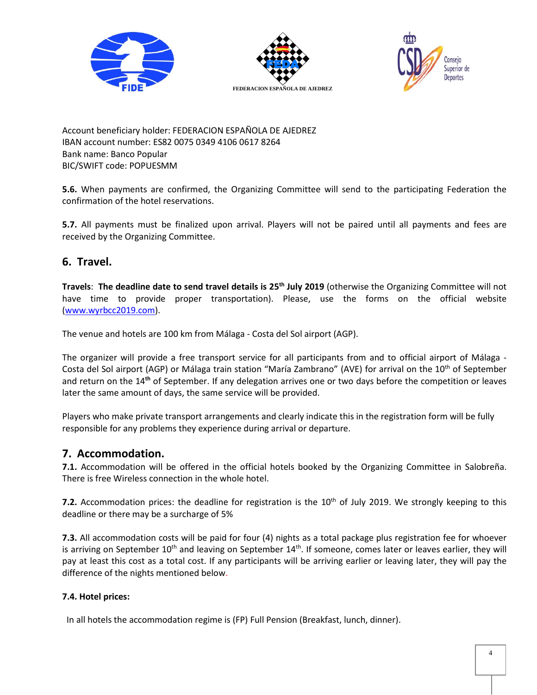





Account beneficiary holder: FEDERACION ESPAÑOLA DE AJEDREZ IBAN account number: ES82 0075 0349 4106 0617 8264 Bank name: Banco Popular BIC/SWIFT code: POPUESMM

**5.6.** When payments are confirmed, the Organizing Committee will send to the participating Federation the confirmation of the hotel reservations.

**5.7.** All payments must be finalized upon arrival. Players will not be paired until all payments and fees are received by the Organizing Committee.

## **6. Travel.**

**Travels**: **The deadline date to send travel details is 25th July 2019** (otherwise the Organizing Committee will not have time to provide proper transportation). Please, use the forms on the official website [\(www.wyrbcc2019.com\)](http://www.wyrbcc2019.com/).

The venue and hotels are 100 km from Málaga - Costa del Sol airport (AGP).

The organizer will provide a free transport service for all participants from and to official airport of Málaga - Costa del Sol airport (AGP) or Málaga train station "María Zambrano" (AVE) for arrival on the 10<sup>th</sup> of September and return on the 14 **th** of September. If any delegation arrives one or two days before the competition or leaves later the same amount of days, the same service will be provided.

Players who make private transport arrangements and clearly indicate this in the registration form will be fully responsible for any problems they experience during arrival or departure.

## **7. Accommodation.**

**7.1.** Accommodation will be offered in the official hotels booked by the Organizing Committee in Salobreña. There is free Wireless connection in the whole hotel.

**7.2.** Accommodation prices: the deadline for registration is the 10<sup>th</sup> of July 2019. We strongly keeping to this deadline or there may be a surcharge of 5%

**7.3.** All accommodation costs will be paid for four (4) nights as a total package plus registration fee for whoever is arriving on September 10<sup>th</sup> and leaving on September 14<sup>th</sup>. If someone, comes later or leaves earlier, they will pay at least this cost as a total cost. If any participants will be arriving earlier or leaving later, they will pay the difference of the nights mentioned below.

#### **7.4. Hotel prices:**

In all hotels the accommodation regime is (FP) Full Pension (Breakfast, lunch, dinner).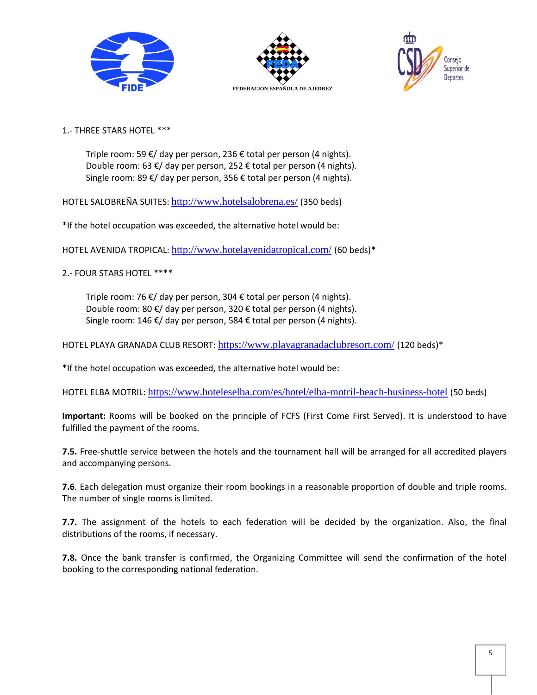





1.- THREE STARS HOTEL \*\*\*

Triple room: 59 €/ day per person, 236 € total per person (4 nights). Double room: 63 €/ day per person, 252 € total per person (4 nights). Single room: 89 €/ day per person, 356 € total per person (4 nights).

HOTEL SALOBREÑA SUITES: <http://www.hotelsalobrena.es/> (350 beds)

\*If the hotel occupation was exceeded, the alternative hotel would be:

HOTEL AVENIDA TROPICAL: <http://www.hotelavenidatropical.com/> (60 beds)\*

2.- FOUR STARS HOTEL \*\*\*\*

Triple room: 76 €/ day per person, 304 € total per person (4 nights). Double room: 80 €/ day per person, 320 € total per person (4 nights). Single room: 146 €/ day per person, 584 € total per person (4 nights).

HOTEL PLAYA GRANADA CLUB RESORT: <https://www.playagranadaclubresort.com/> (120 beds)\*

\*If the hotel occupation was exceeded, the alternative hotel would be:

HOTEL ELBA MOTRIL: <https://www.hoteleselba.com/es/hotel/elba-motril-beach-business-hotel> (50 beds)

**Important:** Rooms will be booked on the principle of FCFS (First Come First Served). It is understood to have fulfilled the payment of the rooms.

**7.5.** Free-shuttle service between the hotels and the tournament hall will be arranged for all accredited players and accompanying persons.

**7.6**. Each delegation must organize their room bookings in a reasonable proportion of double and triple rooms. The number of single rooms is limited.

**7.7.** The assignment of the hotels to each federation will be decided by the organization. Also, the final distributions of the rooms, if necessary.

**7.8.** Once the bank transfer is confirmed, the Organizing Committee will send the confirmation of the hotel booking to the corresponding national federation.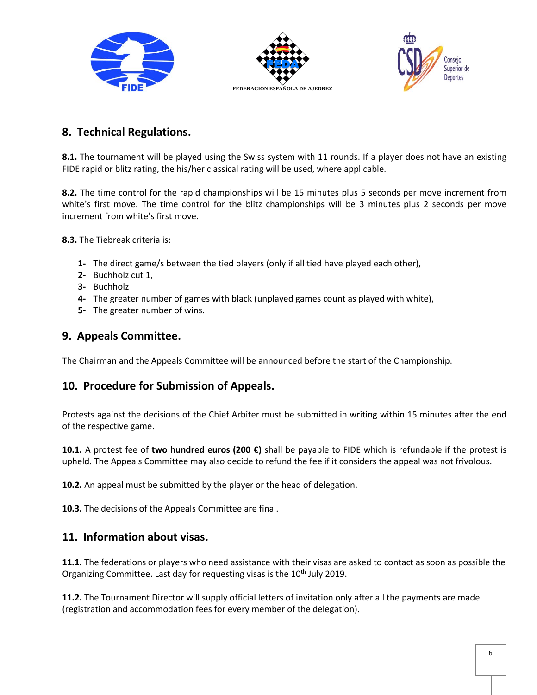





## **8. Technical Regulations.**

**8.1.** The tournament will be played using the Swiss system with 11 rounds. If a player does not have an existing FIDE rapid or blitz rating, the his/her classical rating will be used, where applicable.

**8.2.** The time control for the rapid championships will be 15 minutes plus 5 seconds per move increment from white's first move. The time control for the blitz championships will be 3 minutes plus 2 seconds per move increment from white's first move.

**8.3.** The Tiebreak criteria is:

- **1-** The direct game/s between the tied players (only if all tied have played each other),
- **2-** Buchholz cut 1,
- **3-** Buchholz
- **4-** The greater number of games with black (unplayed games count as played with white),
- **5-** The greater number of wins.

### **9. Appeals Committee.**

The Chairman and the Appeals Committee will be announced before the start of the Championship.

## **10. Procedure for Submission of Appeals.**

Protests against the decisions of the Chief Arbiter must be submitted in writing within 15 minutes after the end of the respective game.

**10.1.** A protest fee of **two hundred euros (200 €)** shall be payable to FIDE which is refundable if the protest is upheld. The Appeals Committee may also decide to refund the fee if it considers the appeal was not frivolous.

**10.2.** An appeal must be submitted by the player or the head of delegation.

**10.3.** The decisions of the Appeals Committee are final.

#### **11. Information about visas.**

**11.1.** The federations or players who need assistance with their visas are asked to contact as soon as possible the Organizing Committee. Last day for requesting visas is the 10<sup>th</sup> July 2019.

**11.2.** The Tournament Director will supply official letters of invitation only after all the payments are made (registration and accommodation fees for every member of the delegation).